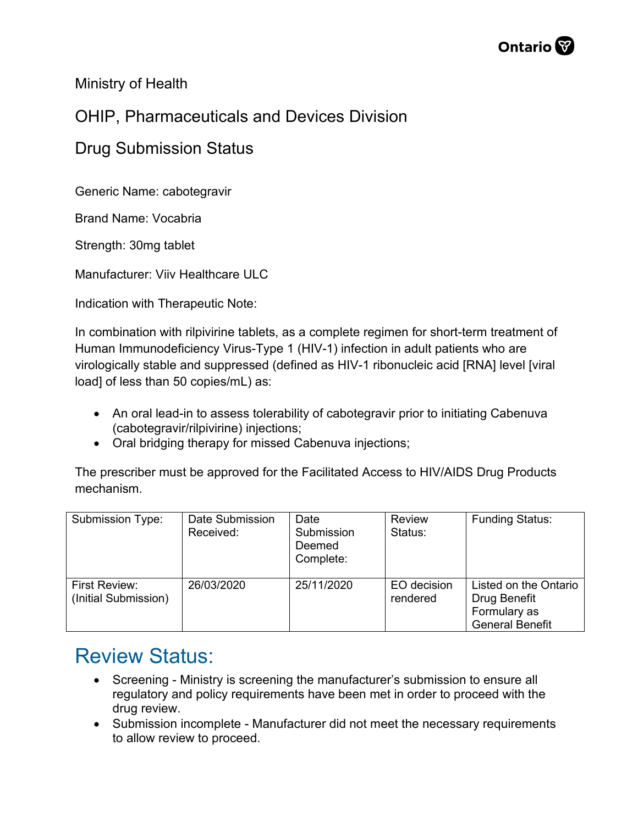

Ministry of Health

## OHIP, Pharmaceuticals and Devices Division

## Drug Submission Status

Generic Name: cabotegravir

Brand Name: Vocabria

Strength: 30mg tablet

Manufacturer: Viiv Healthcare ULC

Indication with Therapeutic Note:

In combination with rilpivirine tablets, as a complete regimen for short-term treatment of Human Immunodeficiency Virus-Type 1 (HIV-1) infection in adult patients who are virologically stable and suppressed (defined as HIV-1 ribonucleic acid [RNA] level [viral load] of less than 50 copies/mL) as:

- An oral lead-in to assess tolerability of cabotegravir prior to initiating Cabenuva (cabotegravir/rilpivirine) injections;
- Oral bridging therapy for missed Cabenuva injections;

The prescriber must be approved for the Facilitated Access to HIV/AIDS Drug Products mechanism.

| Submission Type:                      | Date Submission<br>Received: | Date<br>Submission<br>Deemed<br>Complete: | <b>Review</b><br>Status: | <b>Funding Status:</b>                                                          |
|---------------------------------------|------------------------------|-------------------------------------------|--------------------------|---------------------------------------------------------------------------------|
| First Review:<br>(Initial Submission) | 26/03/2020                   | 25/11/2020                                | EO decision<br>rendered  | Listed on the Ontario<br>Drug Benefit<br>Formulary as<br><b>General Benefit</b> |

## Review Status:

- Screening Ministry is screening the manufacturer's submission to ensure all regulatory and policy requirements have been met in order to proceed with the drug review.
- Submission incomplete Manufacturer did not meet the necessary requirements to allow review to proceed.